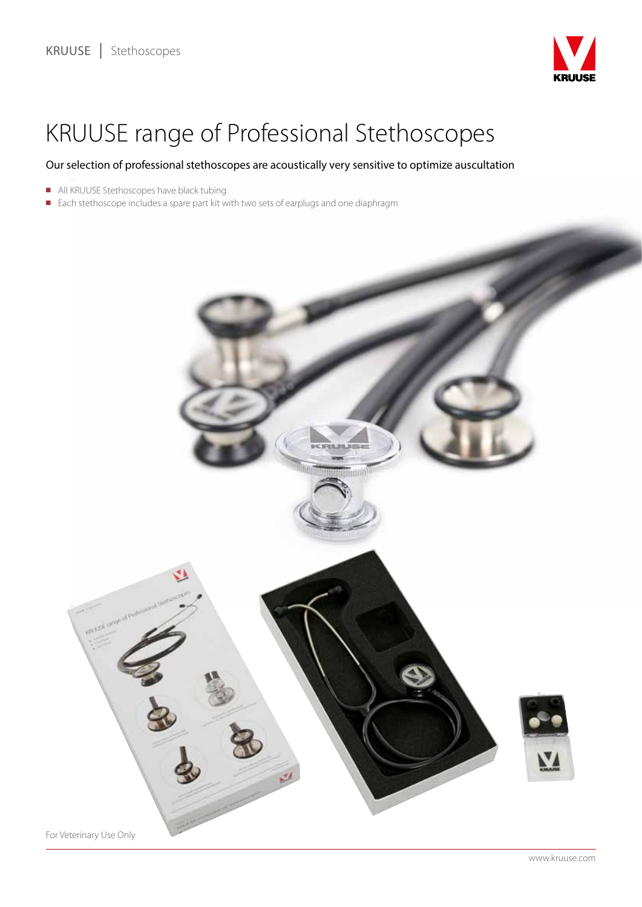

# KRUUSE range of Professional Stethoscopes

### Our selection of professional stethoscopes are acoustically very sensitive to optimize auscultation

- All KRUUSE Stethoscopes have black tubing
- Each stethoscope includes a spare part kit with two sets of earplugs and one diaphragm